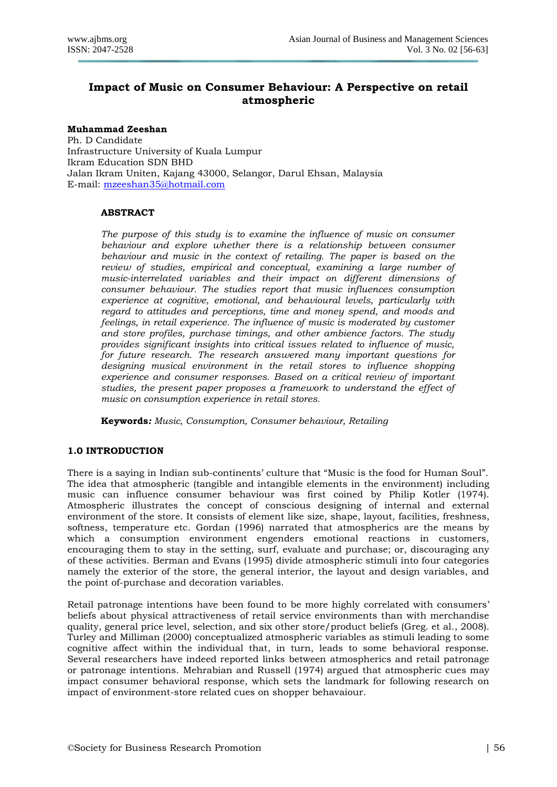# **Impact of Music on Consumer Behaviour: A Perspective on retail atmospheric**

**Muhammad Zeeshan** Ph. D Candidate Infrastructure University of Kuala Lumpur Ikram Education SDN BHD Jalan Ikram Uniten, Kajang 43000, Selangor, Darul Ehsan, Malaysia E-mail:<mzeeshan35@hotmail.com>

# **ABSTRACT**

*The purpose of this study is to examine the influence of music on consumer behaviour and explore whether there is a relationship between consumer behaviour and music in the context of retailing. The paper is based on the review of studies, empirical and conceptual, examining a large number of music-interrelated variables and their impact on different dimensions of consumer behaviour. The studies report that music influences consumption experience at cognitive, emotional, and behavioural levels, particularly with regard to attitudes and perceptions, time and money spend, and moods and feelings, in retail experience. The influence of music is moderated by customer and store profiles, purchase timings, and other ambience factors. The study provides significant insights into critical issues related to influence of music, for future research. The research answered many important questions for designing musical environment in the retail stores to influence shopping experience and consumer responses. Based on a critical review of important studies, the present paper proposes a framework to understand the effect of music on consumption experience in retail stores.*

**Keywords***: Music, Consumption, Consumer behaviour, Retailing*

# **1.0 INTRODUCTION**

There is a saying in Indian sub-continents' culture that "Music is the food for Human Soul". The idea that atmospheric (tangible and intangible elements in the environment) including music can influence consumer behaviour was first coined by Philip Kotler (1974). Atmospheric illustrates the concept of conscious designing of internal and external environment of the store. It consists of element like size, shape, layout, facilities, freshness, softness, temperature etc. Gordan (1996) narrated that atmospherics are the means by which a consumption environment engenders emotional reactions in customers, encouraging them to stay in the setting, surf, evaluate and purchase; or, discouraging any of these activities. Berman and Evans (1995) divide atmospheric stimuli into four categories namely the exterior of the store, the general interior, the layout and design variables, and the point of-purchase and decoration variables.

Retail patronage intentions have been found to be more highly correlated with consumers' beliefs about physical attractiveness of retail service environments than with merchandise quality, general price level, selection, and six other store/product beliefs (Greg. et al., 2008). Turley and Milliman (2000) conceptualized atmospheric variables as stimuli leading to some cognitive affect within the individual that, in turn, leads to some behavioral response. Several researchers have indeed reported links between atmospherics and retail patronage or patronage intentions. Mehrabian and Russell (1974) argued that atmospheric cues may impact consumer behavioral response, which sets the landmark for following research on impact of environment-store related cues on shopper behavaiour.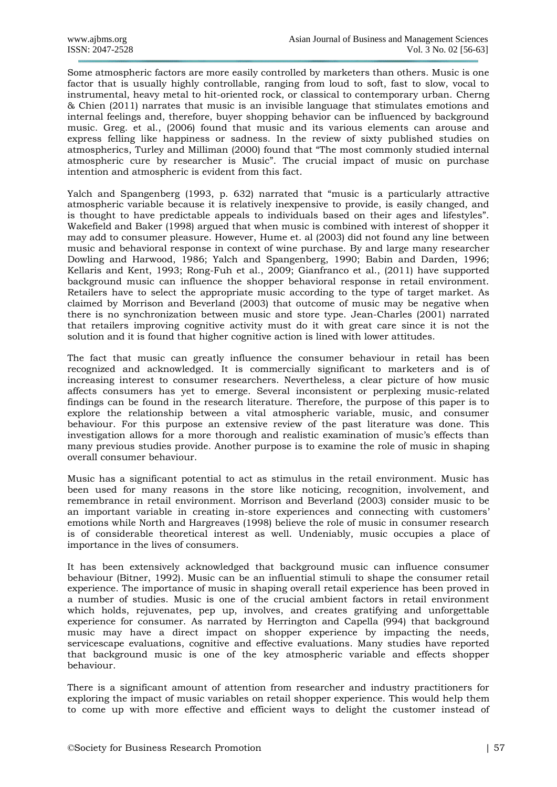Some atmospheric factors are more easily controlled by marketers than others. Music is one factor that is usually highly controllable, ranging from loud to soft, fast to slow, vocal to instrumental, heavy metal to hit-oriented rock, or classical to contemporary urban. Cherng & Chien (2011) narrates that music is an invisible language that stimulates emotions and internal feelings and, therefore, buyer shopping behavior can be influenced by background music. Greg. et al., (2006) found that music and its various elements can arouse and express felling like happiness or sadness. In the review of sixty published studies on atmospherics, Turley and Milliman (2000) found that "The most commonly studied internal atmospheric cure by researcher is Music". The crucial impact of music on purchase intention and atmospheric is evident from this fact.

Yalch and Spangenberg (1993, p. 632) narrated that "music is a particularly attractive atmospheric variable because it is relatively inexpensive to provide, is easily changed, and is thought to have predictable appeals to individuals based on their ages and lifestyles". Wakefield and Baker (1998) argued that when music is combined with interest of shopper it may add to consumer pleasure. However, Hume et. al (2003) did not found any line between music and behavioral response in context of wine purchase. By and large many researcher Dowling and Harwood, 1986; Yalch and Spangenberg, 1990; Babin and Darden, 1996; Kellaris and Kent, 1993; Rong-Fuh et al., 2009; Gianfranco et al., (2011) have supported background music can influence the shopper behavioral response in retail environment. Retailers have to select the appropriate music according to the type of target market. As claimed by Morrison and Beverland (2003) that outcome of music may be negative when there is no synchronization between music and store type. Jean-Charles (2001) narrated that retailers improving cognitive activity must do it with great care since it is not the solution and it is found that higher cognitive action is lined with lower attitudes.

The fact that music can greatly influence the consumer behaviour in retail has been recognized and acknowledged. It is commercially significant to marketers and is of increasing interest to consumer researchers. Nevertheless, a clear picture of how music affects consumers has yet to emerge. Several inconsistent or perplexing music-related findings can be found in the research literature. Therefore, the purpose of this paper is to explore the relationship between a vital atmospheric variable, music, and consumer behaviour. For this purpose an extensive review of the past literature was done. This investigation allows for a more thorough and realistic examination of music's effects than many previous studies provide. Another purpose is to examine the role of music in shaping overall consumer behaviour.

Music has a significant potential to act as stimulus in the retail environment. Music has been used for many reasons in the store like noticing, recognition, involvement, and remembrance in retail environment. Morrison and Beverland (2003) consider music to be an important variable in creating in-store experiences and connecting with customers' emotions while North and Hargreaves (1998) believe the role of music in consumer research is of considerable theoretical interest as well. Undeniably, music occupies a place of importance in the lives of consumers.

It has been extensively acknowledged that background music can influence consumer behaviour (Bitner, 1992). Music can be an influential stimuli to shape the consumer retail experience. The importance of music in shaping overall retail experience has been proved in a number of studies. Music is one of the crucial ambient factors in retail environment which holds, rejuvenates, pep up, involves, and creates gratifying and unforgettable experience for consumer. As narrated by Herrington and Capella (994) that background music may have a direct impact on shopper experience by impacting the needs, servicescape evaluations, cognitive and effective evaluations. Many studies have reported that background music is one of the key atmospheric variable and effects shopper behaviour.

There is a significant amount of attention from researcher and industry practitioners for exploring the impact of music variables on retail shopper experience. This would help them to come up with more effective and efficient ways to delight the customer instead of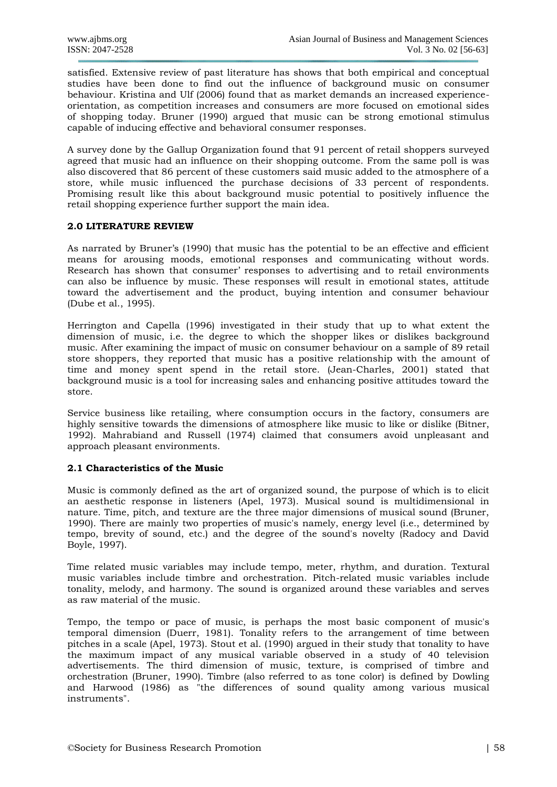satisfied. Extensive review of past literature has shows that both empirical and conceptual studies have been done to find out the influence of background music on consumer behaviour. Kristina and Ulf (2006) found that as market demands an increased experienceorientation, as competition increases and consumers are more focused on emotional sides of shopping today. Bruner (1990) argued that music can be strong emotional stimulus capable of inducing effective and behavioral consumer responses.

A survey done by the Gallup Organization found that 91 percent of retail shoppers surveyed agreed that music had an influence on their shopping outcome. From the same poll is was also discovered that 86 percent of these customers said music added to the atmosphere of a store, while music influenced the purchase decisions of 33 percent of respondents. Promising result like this about background music potential to positively influence the retail shopping experience further support the main idea.

# **2.0 LITERATURE REVIEW**

As narrated by Bruner's (1990) that music has the potential to be an effective and efficient means for arousing moods, emotional responses and communicating without words. Research has shown that consumer' responses to advertising and to retail environments can also be influence by music. These responses will result in emotional states, attitude toward the advertisement and the product, buying intention and consumer behaviour (Dube et al., 1995).

Herrington and Capella (1996) investigated in their study that up to what extent the dimension of music, i.e. the degree to which the shopper likes or dislikes background music. After examining the impact of music on consumer behaviour on a sample of 89 retail store shoppers, they reported that music has a positive relationship with the amount of time and money spent spend in the retail store. (Jean-Charles, 2001) stated that background music is a tool for increasing sales and enhancing positive attitudes toward the store.

Service business like retailing, where consumption occurs in the factory, consumers are highly sensitive towards the dimensions of atmosphere like music to like or dislike (Bitner, 1992). Mahrabiand and Russell (1974) claimed that consumers avoid unpleasant and approach pleasant environments.

# **2.1 Characteristics of the Music**

Music is commonly defined as the art of organized sound, the purpose of which is to elicit an aesthetic response in listeners (Apel, 1973). Musical sound is multidimensional in nature. Time, pitch, and texture are the three major dimensions of musical sound (Bruner, 1990). There are mainly two properties of music's namely, energy level (i.e., determined by tempo, brevity of sound, etc.) and the degree of the sound's novelty (Radocy and David Boyle, 1997).

Time related music variables may include tempo, meter, rhythm, and duration. Textural music variables include timbre and orchestration. Pitch-related music variables include tonality, melody, and harmony. The sound is organized around these variables and serves as raw material of the music.

Tempo, the tempo or pace of music, is perhaps the most basic component of music's temporal dimension (Duerr, 1981). Tonality refers to the arrangement of time between pitches in a scale (Apel, 1973). Stout et al. (1990) argued in their study that tonality to have the maximum impact of any musical variable observed in a study of 40 television advertisements. The third dimension of music, texture, is comprised of timbre and orchestration (Bruner, 1990). Timbre (also referred to as tone color) is defined by Dowling and Harwood (1986) as "the differences of sound quality among various musical instruments".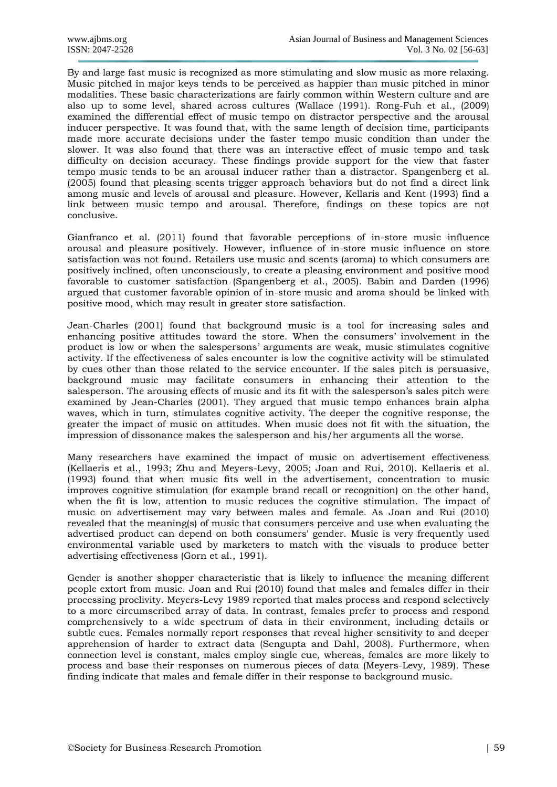By and large fast music is recognized as more stimulating and slow music as more relaxing. Music pitched in major keys tends to be perceived as happier than music pitched in minor modalities. These basic characterizations are fairly common within Western culture and are also up to some level, shared across cultures (Wallace (1991). Rong-Fuh et al., (2009) examined the differential effect of music tempo on distractor perspective and the arousal inducer perspective. It was found that, with the same length of decision time, participants made more accurate decisions under the faster tempo music condition than under the slower. It was also found that there was an interactive effect of music tempo and task difficulty on decision accuracy. These findings provide support for the view that faster tempo music tends to be an arousal inducer rather than a distractor. Spangenberg et al. (2005) found that pleasing scents trigger approach behaviors but do not find a direct link among music and levels of arousal and pleasure. However, Kellaris and Kent (1993) find a link between music tempo and arousal. Therefore, findings on these topics are not conclusive.

Gianfranco et al. (2011) found that favorable perceptions of in-store music influence arousal and pleasure positively. However, influence of in-store music influence on store satisfaction was not found. Retailers use music and scents (aroma) to which consumers are positively inclined, often unconsciously, to create a pleasing environment and positive mood favorable to customer satisfaction (Spangenberg et al., 2005). Babin and Darden (1996) argued that customer favorable opinion of in-store music and aroma should be linked with positive mood, which may result in greater store satisfaction.

Jean-Charles (2001) found that background music is a tool for increasing sales and enhancing positive attitudes toward the store. When the consumers' involvement in the product is low or when the salespersons' arguments are weak, music stimulates cognitive activity. If the effectiveness of sales encounter is low the cognitive activity will be stimulated by cues other than those related to the service encounter. If the sales pitch is persuasive, background music may facilitate consumers in enhancing their attention to the salesperson. The arousing effects of music and its fit with the salesperson's sales pitch were examined by Jean-Charles (2001). They argued that music tempo enhances brain alpha waves, which in turn, stimulates cognitive activity. The deeper the cognitive response, the greater the impact of music on attitudes. When music does not fit with the situation, the impression of dissonance makes the salesperson and his/her arguments all the worse.

Many researchers have examined the impact of music on advertisement effectiveness (Kellaeris et al., 1993; Zhu and Meyers-Levy, 2005; Joan and Rui, 2010). Kellaeris et al. (1993) found that when music fits well in the advertisement, concentration to music improves cognitive stimulation (for example brand recall or recognition) on the other hand, when the fit is low, attention to music reduces the cognitive stimulation. The impact of music on advertisement may vary between males and female. As Joan and Rui (2010) revealed that the meaning(s) of music that consumers perceive and use when evaluating the advertised product can depend on both consumers' gender. Music is very frequently used environmental variable used by marketers to match with the visuals to produce better advertising effectiveness (Gorn et al., 1991).

Gender is another shopper characteristic that is likely to influence the meaning different people extort from music. Joan and Rui (2010) found that males and females differ in their processing proclivity. Meyers-Levy 1989 reported that males process and respond selectively to a more circumscribed array of data. In contrast, females prefer to process and respond comprehensively to a wide spectrum of data in their environment, including details or subtle cues. Females normally report responses that reveal higher sensitivity to and deeper apprehension of harder to extract data (Sengupta and Dahl, 2008). Furthermore, when connection level is constant, males employ single cue, whereas, females are more likely to process and base their responses on numerous pieces of data (Meyers-Levy, 1989). These finding indicate that males and female differ in their response to background music.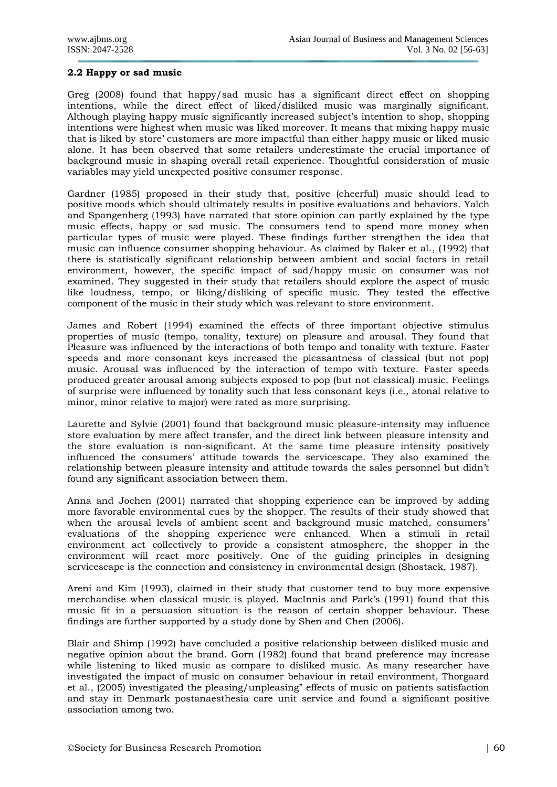#### **2.2 Happy or sad music**

Greg (2008) found that happy/sad music has a significant direct effect on shopping intentions, while the direct effect of liked/disliked music was marginally significant. Although playing happy music significantly increased subject's intention to shop, shopping intentions were highest when music was liked moreover. It means that mixing happy music that is liked by store' customers are more impactful than either happy music or liked music alone. It has been observed that some retailers underestimate the crucial importance of background music in shaping overall retail experience. Thoughtful consideration of music variables may yield unexpected positive consumer response.

Gardner (1985) proposed in their study that, positive (cheerful) music should lead to positive moods which should ultimately results in positive evaluations and behaviors. Yalch and Spangenberg (1993) have narrated that store opinion can partly explained by the type music effects, happy or sad music. The consumers tend to spend more money when particular types of music were played. These findings further strengthen the idea that music can influence consumer shopping behaviour. As claimed by Baker et al., (1992) that there is statistically significant relationship between ambient and social factors in retail environment, however, the specific impact of sad/happy music on consumer was not examined. They suggested in their study that retailers should explore the aspect of music like loudness, tempo, or liking/disliking of specific music. They tested the effective component of the music in their study which was relevant to store environment.

James and Robert (1994) examined the effects of three important objective stimulus properties of music (tempo, tonality, texture) on pleasure and arousal. They found that Pleasure was influenced by the interactions of both tempo and tonality with texture. Faster speeds and more consonant keys increased the pleasantness of classical (but not pop) music. Arousal was influenced by the interaction of tempo with texture. Faster speeds produced greater arousal among subjects exposed to pop (but not classical) music. Feelings of surprise were influenced by tonality such that less consonant keys (i.e., atonal relative to minor, minor relative to major) were rated as more surprising.

Laurette and Sylvie (2001) found that background music pleasure-intensity may influence store evaluation by mere affect transfer, and the direct link between pleasure intensity and the store evaluation is non-significant. At the same time pleasure intensity positively influenced the consumers' attitude towards the servicescape. They also examined the relationship between pleasure intensity and attitude towards the sales personnel but didn't found any significant association between them.

Anna and Jochen (2001) narrated that shopping experience can be improved by adding more favorable environmental cues by the shopper. The results of their study showed that when the arousal levels of ambient scent and background music matched, consumers' evaluations of the shopping experience were enhanced. When a stimuli in retail environment act collectively to provide a consistent atmosphere, the shopper in the environment will react more positively. One of the guiding principles in designing servicescape is the connection and consistency in environmental design (Shostack, 1987).

Areni and Kim (1993), claimed in their study that customer tend to buy more expensive merchandise when classical music is played. MacInnis and Park's (1991) found that this music fit in a persuasion situation is the reason of certain shopper behaviour. These findings are further supported by a study done by Shen and Chen (2006).

Blair and Shimp (1992) have concluded a positive relationship between disliked music and negative opinion about the brand. Gorn (1982) found that brand preference may increase while listening to liked music as compare to disliked music. As many researcher have investigated the impact of music on consumer behaviour in retail environment, Thorgaard et al., (2005) investigated the pleasing/unpleasing" effects of music on patients satisfaction and stay in Denmark postanaesthesia care unit service and found a significant positive association among two.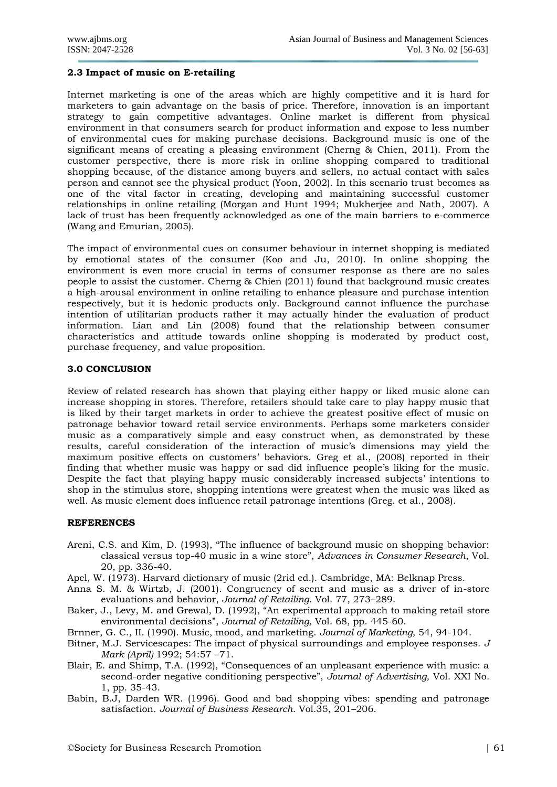#### **2.3 Impact of music on E-retailing**

Internet marketing is one of the areas which are highly competitive and it is hard for marketers to gain advantage on the basis of price. Therefore, innovation is an important strategy to gain competitive advantages. Online market is different from physical environment in that consumers search for product information and expose to less number of environmental cues for making purchase decisions. Background music is one of the significant means of creating a pleasing environment (Cherng & Chien, 2011). From the customer perspective, there is more risk in online shopping compared to traditional shopping because, of the distance among buyers and sellers, no actual contact with sales person and cannot see the physical product (Yoon, 2002). In this scenario trust becomes as one of the vital factor in creating, developing and maintaining successful customer relationships in online retailing (Morgan and Hunt 1994; Mukherjee and Nath, 2007). A lack of trust has been frequently acknowledged as one of the main barriers to e-commerce (Wang and Emurian, 2005).

The impact of environmental cues on consumer behaviour in internet shopping is mediated by emotional states of the consumer (Koo and Ju, 2010). In online shopping the environment is even more crucial in terms of consumer response as there are no sales people to assist the customer. Cherng & Chien (2011) found that background music creates a high-arousal environment in online retailing to enhance pleasure and purchase intention respectively, but it is hedonic products only. Background cannot influence the purchase intention of utilitarian products rather it may actually hinder the evaluation of product information. Lian and Lin (2008) found that the relationship between consumer characteristics and attitude towards online shopping is moderated by product cost, purchase frequency, and value proposition.

#### **3.0 CONCLUSION**

Review of related research has shown that playing either happy or liked music alone can increase shopping in stores. Therefore, retailers should take care to play happy music that is liked by their target markets in order to achieve the greatest positive effect of music on patronage behavior toward retail service environments. Perhaps some marketers consider music as a comparatively simple and easy construct when, as demonstrated by these results, careful consideration of the interaction of music's dimensions may yield the maximum positive effects on customers' behaviors. Greg et al., (2008) reported in their finding that whether music was happy or sad did influence people's liking for the music. Despite the fact that playing happy music considerably increased subjects' intentions to shop in the stimulus store, shopping intentions were greatest when the music was liked as well. As music element does influence retail patronage intentions (Greg. et al., 2008).

# **REFERENCES**

- Areni, C.S. and Kim, D. (1993), "The influence of background music on shopping behavior: classical versus top-40 music in a wine store", *Advances in Consumer Research*, Vol. 20, pp. 336-40.
- Apel, W. (1973). Harvard dictionary of music (2rid ed.). Cambridge, MA: Belknap Press.
- Anna S. M. & Wirtzb, J. (2001). Congruency of scent and music as a driver of in-store evaluations and behavior, *Journal of Retailing*. Vol. 77, 273–289.
- Baker, J., Levy, M. and Grewal, D. (1992), "An experimental approach to making retail store environmental decisions", *Journal of Retailing,* Vol. 68, pp. 445-60.
- Brnner, G. C., II. (1990). Music, mood, and marketing. *Journal of Marketing,* 54, 94-104.
- Bitner, M.J. Servicescapes: The impact of physical surroundings and employee responses. *J Mark (April)* 1992; 54:57 –71.
- Blair, E. and Shimp, T.A. (1992), "Consequences of an unpleasant experience with music: a second-order negative conditioning perspective", *Journal of Advertising,* Vol. XXI No. 1, pp. 35-43.
- Babin, B.J, Darden WR. (1996). Good and bad shopping vibes: spending and patronage satisfaction. *Journal of Business Research*. Vol.35, 201–206.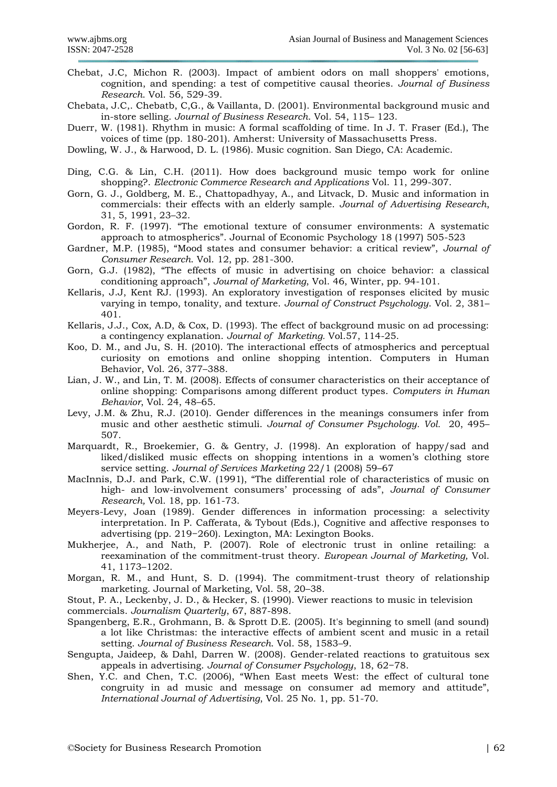- Chebat, J.C, Michon R. (2003). Impact of ambient odors on mall shoppers' emotions, cognition, and spending: a test of competitive causal theories. *Journal of Business Research*. Vol. 56, 529-39.
- Chebata, J.C,. Chebatb, C,G., & Vaillanta, D. (2001). Environmental background music and in-store selling. *Journal of Business Research*. Vol. 54, 115– 123.

Duerr, W. (1981). Rhythm in music: A formal scaffolding of time. In J. T. Fraser (Ed.), The voices of time (pp. 180-201). Amherst: University of Massachusetts Press.

Dowling, W. J., & Harwood, D. L. (1986). Music cognition. San Diego, CA: Academic.

- Ding, C.G. & Lin, C.H. (2011). How does background music tempo work for online shopping?. *Electronic Commerce Research and Applications* Vol. 11, 299-307.
- Gorn, G. J., Goldberg, M. E., Chattopadhyay, A., and Litvack, D. Music and information in commercials: their effects with an elderly sample. *Journal of Advertising Research*, 31, 5, 1991, 23–32.
- Gordon, R. F. (1997). "The emotional texture of consumer environments: A systematic approach to atmospherics". Journal of Economic Psychology 18 (1997) 505-523
- Gardner, M.P. (1985), "Mood states and consumer behavior: a critical review", *Journal of Consumer Research*. Vol. 12, pp. 281-300.
- Gorn, G.J. (1982), "The effects of music in advertising on choice behavior: a classical conditioning approach", *Journal of Marketing*, Vol. 46, Winter, pp. 94-101.
- Kellaris, J.J, Kent RJ. (1993). An exploratory investigation of responses elicited by music varying in tempo, tonality, and texture. *Journal of Construct Psychology*. Vol. 2, 381– 401.
- Kellaris, J.J., Cox, A.D, & Cox, D. (1993). The effect of background music on ad processing: a contingency explanation. *Journal of Marketing.* Vol.57, 114-25.
- Koo, D. M., and Ju, S. H. (2010). The interactional effects of atmospherics and perceptual curiosity on emotions and online shopping intention. Computers in Human Behavior, Vol. 26, 377–388.
- Lian, J. W., and Lin, T. M. (2008). Effects of consumer characteristics on their acceptance of online shopping: Comparisons among different product types. *Computers in Human Behavior*, Vol. 24, 48–65.
- Levy, J.M. & Zhu, R.J. (2010). Gender differences in the meanings consumers infer from music and other aesthetic stimuli. *Journal of Consumer Psychology. Vol.* 20, 495– 507.
- Marquardt, R., Broekemier, G. & Gentry, J. (1998). An exploration of happy/sad and liked/disliked music effects on shopping intentions in a women's clothing store service setting. *Journal of Services Marketing* 22/1 (2008) 59–67
- MacInnis, D.J. and Park, C.W. (1991), "The differential role of characteristics of music on high- and low-involvement consumers' processing of ads", *Journal of Consumer Research,* Vol. 18, pp. 161-73.
- Meyers-Levy, Joan (1989). Gender differences in information processing: a selectivity interpretation. In P. Cafferata, & Tybout (Eds.), Cognitive and affective responses to advertising (pp. 219−260). Lexington, MA: Lexington Books.
- Mukherjee, A., and Nath, P. (2007). Role of electronic trust in online retailing: a reexamination of the commitment-trust theory. *European Journal of Marketing,* Vol. 41, 1173–1202.
- Morgan, R. M., and Hunt, S. D. (1994). The commitment-trust theory of relationship marketing. Journal of Marketing, Vol. 58, 20–38.

Stout, P. A., Leckenby, J. D., & Hecker, S. (1990). Viewer reactions to music in television commercials. *Journalism Quarterly*, 67, 887-898.

- Spangenberg, E.R., Grohmann, B. & Sprott D.E. (2005). It's beginning to smell (and sound) a lot like Christmas: the interactive effects of ambient scent and music in a retail setting. *Journal of Business Research*. Vol. 58, 1583–9.
- Sengupta, Jaideep, & Dahl, Darren W. (2008). Gender-related reactions to gratuitous sex appeals in advertising. *Journal of Consumer Psychology*, 18, 62−78.
- Shen, Y.C. and Chen, T.C. (2006), "When East meets West: the effect of cultural tone congruity in ad music and message on consumer ad memory and attitude", *International Journal of Advertising*, Vol. 25 No. 1, pp. 51-70.